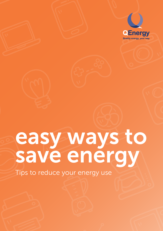

# easy ways to save energy

Tips to reduce your energy use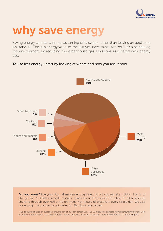

# why save energy

Saving energy can be as simple as turning off a switch rather than leaving an appliance on stand-by. The less energy you use, the less you have to pay for. You'll also be helping the environment by reducing the greenhouse gas emissions associated with energy use.

# Heating and cooling 40% Water heating 23% **Other** appliances 14% Lighting 23% Fridges and freezers 8% Cooking 5% Stand-by power 3%

#### To use less energy - start by looking at where and how you use it now.

Did you know? Everyday, Australians use enough electricity to power eight billion TVs or to charge over 110 billion mobile phones. That's about ten million households and businesses chewing through over half a million mega-watt hours of electricity every single day. We also use enough natural gas to boil water for 36 billion cups of tea.

\*TVs calculated based on average consumption of 40-inch screen LED TVs 10 h/day test standard from energyrating.gov.au. Light bulbs calculated based on use of 60 W bulbs. Mobile phones calculated based on Electric Power Research Institute report.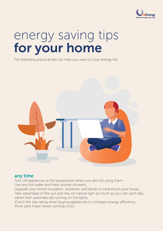

# energy saving tips for your home

The following practical tips can help you save on your energy bill.



### any time

Turn off appliances at the powerpoint when you are not using them. Use less hot water and have shorter showers.

Upgrade your home insulation, windows, and blinds to heat-proof your house. Take advantage of the sun and rely on natural light as much as you can each day, rather than automatically turning on the lights.

Check the star rating when buying appliances to compare energy efficiency. More stars mean fewer running costs.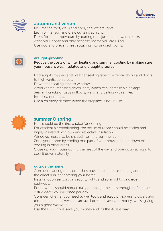



### autumn and winter

Insulate the roof, walls and floor, seal off draughts. Let in winter sun and draw curtains at night. Dress for the temperature by putting on a jumper and warm socks. Zone your home and only heat the rooms you are using. Use doors to prevent heat escaping into unused rooms.



#### draught-proofing

Reduce the costs of winter heating and summer cooling by making sure your house is well insulated and draught proofed.

Fit draught stoppers and weather sealing tape to external doors and doors to high ventilation areas.

Fit weather sealing tape to windows.

Avoid vented, recessed downlights, which can increase air leakage. Seal any cracks or gaps in floors, walls, and ceiling with a filler. Install exhaust fans.

Use a chimney damper when the fireplace is not in use.



### summer & spring

Fans should be the first choice for cooling.

For efficient air conditioning, the house or room should be sealed and highly insulated with bulk and reflective insulation.

Windows must also be shaded from the summer sun.

Zone your home by cooling one part of your house and cut down on cooling in other areas.

Close up your house during the heat of the day and open it up at night to cool it down naturally.



#### outside the home

Consider planting trees or bushes outside to increase shading and reduce the direct sunlight entering your home.

Install motion sensors on security lights and solar lights for garden pathways.

Pool owners should reduce daily pumping time – it's enough to filter the entire water volume once per day.

Consider whether you need power tools and electric mowers, blowers and trimmers– manual versions are available and save you money, whilst giving you a good workout.

Use the BBQ. It will save you money and it's the Aussie way!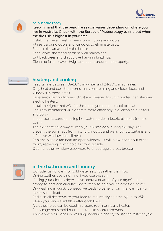



#### be bushfire ready

Keep in mind that the peak fire season varies depending on where you live in Australia. Check with the Bureau of Meteorology to find out when the fire risk is highest in your area.

Install fine metal mesh screens on windows and doors. Fit seals around doors and windows to eliminate gaps. Enclose the areas under the house.

Keep lawns short and gardens well maintained.

Cut back trees and shrubs overhanging buildings.

Clean up fallen leaves, twigs and debris around the property.



# heating and cooling

Keep temps between 18–20°C in winter and 24-25°C in summer. Only heat and cool the rooms that you are using and close doors and windows in those areas.

Reverse-cycle conditioners (ACs) are cheaper to run in winter than standard electric heaters.

Install the right sized ACs for the space you need to cool or heat. Regularly maintained ACs operate more efficiently (e.g. cleaning air filters and coils).

In bedrooms, consider using hot water bottles, electric blankets & dress warm.

The most effective way to keep your home cool during the day is to prevent the sun's rays from hitting windows and walls. Blinds, curtains and reflective window tints all help.

At night, place a fan near an open window - it will blow hot air out of the room, replacing it with cold air from outside.

Open another window elsewhere to encourage a cross breeze.



# in the bathroom and laundry

Consider using warm or cold water settings rather than hot. Drying clothes costs nothing if you use the sun.

If using your clothes dryer, leave about a quarter of your dryer's barrel empty so heat can circulate more freely to help your clothes dry faster. Dry washing in quick, consecutive loads to benefit from the warmth from the previous load.

Add a small dry towel to your load to reduce drying time by up to 25%. Clean your dryer's lint filter after each load.

A clotheshorse can be used in a spare room or near a heater.

Encourage household members to take shorter showers.

Always wash full loads in washing machines and try to use the fastest cycle.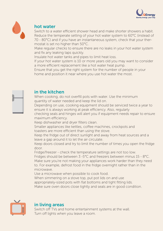



# hot water

Switch to a water efficient shower head and make shorter showers a habit. Reduce the temperate setting of your hot water system to 60°C (instead of 70 - 80°C) and if you have an instantaneous system, check that your thermostat is set no higher than 50°C.

Make regular checks to ensure there are no leaks in your hot water system and fix any leaking taps quickly.

Insulate hot water tanks and pipes to limit heat loss.

If your hot water system is 10 or more years old you may want to consider a more efficient replacement like a hot water heat pump.

Ensure that you get the right system for the number of people in your home and position it near where you use hot water the most.



# in the kitchen

When cooking, do not overfill pots with water. Use the minimum quantity of water needed and keep the lid on.

Depending on use, cooking equipment should be serviced twice a year to ensure it is always working at peak efficiency. Also, regularly

checking seals and hinges will alert you if equipment needs repair to ensure maximum efficiency.

Keep dishwasher and dryer filters clean.

Smaller appliances like kettles, coffee machines, crockpots and toasters are more efficient than using the stove.

Keep the fridge out of direct sunlight and away from heat sources and a leave a gap around it to let the air circulate.

Keep doors closed and try to limit the number of times you open the fridge door.

Fridge/freezer - check the temperature settings are not too low.

Fridges should be between 3 -5°C and freezers between minus 15 - 8°C. Make sure you're not making your appliances work harder than they need to. For example, defrost food in the fridge overnight rather than in the microwave.

Use a microwave when possible to cook food.

When simmering on a stove top, put pot lids on and use

appropriately-sized pots with flat bottoms and tight fitting lids.

Make sure oven doors close tightly and seals are in good condition.



# in living areas

Switch off TVs and home entertainment systems at the wall. Turn off lights when you leave a room.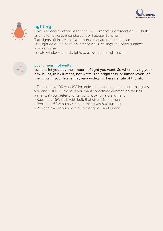



# lighting

Switch to energy efficient lighting like compact fluorescent or LED bulbs as an alternative to incandescent or halogen lighting.

Turn lights off in areas of your home that are not being used. Use light coloured paint on interior walls, ceilings and other surfaces in your home.

Locate windows and skylights to allow natural light inside.



#### buy lumens, not watts

Lumens let you buy the amount of light you want. So when buying your new bulbs, think lumens, not watts. The brightness, or lumen levels, of the lights in your home may vary widely, so here's a rule of thumb:

• To replace a 100 watt (W) incandescent bulb, look for a bulb that gives you about 1600 lumens. If you want something dimmer, go for less lumens; if you prefer brighter light, look for more lumens

- Replace a 75W bulb with bulb that gives 1100 lumens
- Replace a 60W bulb with bulb that gives 800 lumens
- Replace a 40W bulb with bulb that gives 450 lumens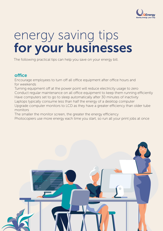

# energy saving tips for your businesses

The following practical tips can help you save on your energy bill.

# office

Encourage employees to turn off all office equipment after office hours and for weekends

Turning equipment off at the power point will reduce electricity usage to zero Conduct regular maintenance on all office equipment to keep them running efficiently Have computers set to go to sleep automatically after 30 minutes of inactivity Laptops typically consume less than half the energy of a desktop computer Upgrade computer monitors to LCD as they have a greater efficiency than older tube monitors

The smaller the monitor screen, the greater the energy efficiency

Photocopiers use more energy each time you start, so run all your print jobs at once

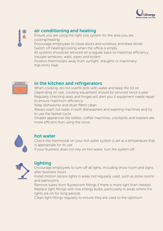



# air conditioning and heating

Ensure you are using the right size system for the area you are cooling/heating

Encourage employees to close doors and windows and draw blinds Switch off heating/cooling when the office is empty

All systems should be serviced on a regular basis to maximise efficiency Insulate windows, walls, pipes and boilers

Position thermostats away from sunlight, draughts or machinery that emits heat



### in the kitchen and refrigerators

When cooking, do not overfill pots with water and keep the lid on Depending on use, cooking equipment should be serviced twice a year Regularly checking seals and hinges will alert you if equipment needs repair to ensure maximum efficiency

Keep dishwasher and dryer filters clean

Always wash full loads in both dishwashers and washing machines and try to use the fastest cycle

Smaller appliances like kettles, coffee machines, crockpots and toasters are more efficient than using the stove



# hot water

Check the thermostat on your hot water system is set at a temperature that is appropriate for its use

If your business does not rely on hot water, turn the system off



# lighting

Encourage employees to turn off all lights, including show room and signs, after business hours

Install motion sensor lights in areas not regularly used, such as store rooms and bathrooms

Remove tubes from fluorescent fittings if there is more light than needed Replace light fittings with low energy bulbs, particularly in areas where the lights are on for long periods

Clean light fittings regularly to ensure they are used to the optimum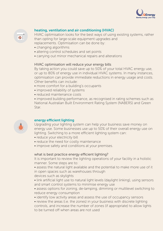



#### heating, ventilation and air conditioning (HVAC)

HVAC optimisation looks for the best ways of using existing systems, rather than opting for large-scale equipment upgrades and

- replacements. Optimisation can be done by:
- changing algorithms
- altering control schedules and set points
- carrying out minor mechanical repairs and alterations

#### HVAC optimisation will reduce your energy bills

By taking action you could save up to 50% of your total HVAC energy use, or up to 80% of energy use in individual HVAC systems. In many instances, optimisation can provide immediate reductions in energy usage and costs. Other benefits can include:

- more comfort for a building's occupants
- improved reliability of systems
- reduced maintenance costs

• improved building performance, as recognised in rating schemes such as National Australian Built Environment Rating System (NABERS) and Green Star.



#### energy efficient lighting

Upgrading your lighting system can help your business save money on energy use. Some businesses use up to 50% of their overall energy use on lighting. Switching to a more efficient lighting system can:

- reduce your electricity bill
- reduce the need for costly maintenance
- improve safety and conditions at your premises.

#### what is best practice energy efficient lighting?

It is important to review the lighting operations of your facility in a holistic manner. Some steps are to:

• assess the natural light available and the potential to make more use of it in open spaces such as warehouses through

devices such as skylights

• link artificial light use to natural light levels (daylight linking), using sensors and smart control systems to minimise energy use

• assess options for zoning, de-lamping, dimming or multilevel switching to reduce energy consumption

• identify low activity areas and assess the use of occupancy sensors

• review the areas (i.e. the zones) in your business with discrete lighting controls, and increase the number of zones (if appropriate) to allow lights to be turned off when areas are not used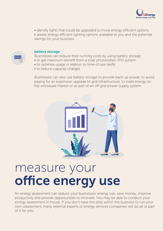

• identify lights that could be upgraded to more energy efficient options

• assess energy efficient lighting options available to you and the potential savings for your business



#### battery storage

Businesses can reduce their running costs by using battery storage:

- to get maximum benefit from a solar photovoltaic (PV) system
- to optimise usage in relation to time-of-use tariffs
- to reduce capacity charges

Businesses can also use battery storage to provide back-up power, to avoid paying for an expensive upgrade to grid infrastructure, to trade energy on the wholesale market or as part of an off-grid power supply system



# measure your office energy use

An energy assessment can reduce your businesses' energy use, save money, improve productivity and provide opportunities to innovate. You may be able to conduct your energy assessment in house. If you don't have the skills within the business to run your own assessment, many external experts or energy services companies will do all or part of it for you.